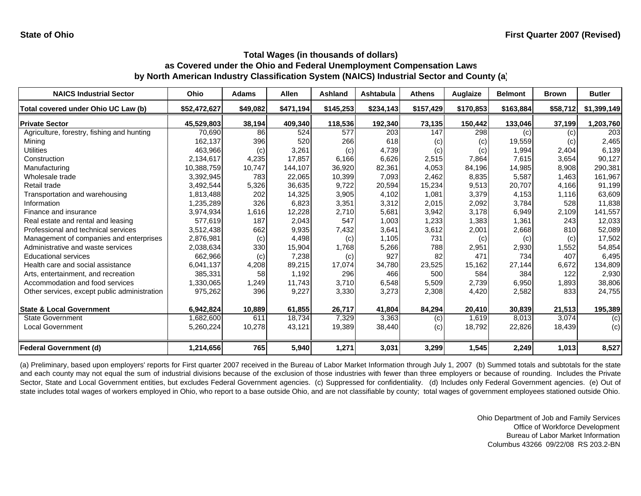| <b>NAICS Industrial Sector</b>               | Ohio         | <b>Adams</b> | Allen     | Ashland   | Ashtabula | <b>Athens</b> | Auglaize  | <b>Belmont</b> | <b>Brown</b> | <b>Butler</b> |
|----------------------------------------------|--------------|--------------|-----------|-----------|-----------|---------------|-----------|----------------|--------------|---------------|
| Total covered under Ohio UC Law (b)          | \$52,472,627 | \$49,082     | \$471,194 | \$145,253 | \$234,143 | \$157,429     | \$170,853 | \$163,884      | \$58,712     | \$1,399,149   |
| <b>Private Sector</b>                        | 45,529,803   | 38,194       | 409,340   | 118,536   | 192,340   | 73,135        | 150,442   | 133,046        | 37,199       | 1,203,760     |
| Agriculture, forestry, fishing and hunting   | 70,690       | 86           | 524       | 577       | 203       | 147           | 298       | (c)            | (c)          | 203           |
| Mining                                       | 162.137      | 396          | 520       | 266       | 618       | (c)           | (c)       | 19,559         | (c)          | 2,465         |
| <b>Utilities</b>                             | 463,966      | (c)          | 3,261     | (c)       | 4,739     | (c)           | (c)       | 1,994          | 2,404        | 6,139         |
| Construction                                 | 2,134,617    | 4,235        | 17,857    | 6,166     | 6,626     | 2,515         | 7,864     | 7,615          | 3,654        | 90,127        |
| Manufacturing                                | 10,388,759   | 10,747       | 144,107   | 36,920    | 82,361    | 4,053         | 84,196    | 14,985         | 8,908        | 290,381       |
| Wholesale trade                              | 3,392,945    | 783          | 22,065    | 10,399    | 7,093     | 2,462         | 8,835     | 5,587          | 1,463        | 161,967       |
| Retail trade                                 | 3,492,544    | 5,326        | 36,635    | 9,722     | 20,594    | 15,234        | 9,513     | 20,707         | 4,166        | 91,199        |
| Transportation and warehousing               | 1,813,488    | 202          | 14,325    | 3,905     | 4,102     | 1,081         | 3,379     | 4,153          | 1,116        | 63,609        |
| Information                                  | 1,235,289    | 326          | 6,823     | 3,351     | 3,312     | 2,015         | 2,092     | 3,784          | 528          | 11,838        |
| Finance and insurance                        | 3,974,934    | 1,616        | 12,228    | 2,710     | 5,681     | 3,942         | 3,178     | 6,949          | 2,109        | 141,557       |
| Real estate and rental and leasing           | 577,619      | 187          | 2,043     | 547       | 1,003     | 1,233         | 1,383     | 1,361          | 243          | 12,033        |
| Professional and technical services          | 3,512,438    | 662          | 9,935     | 7,432     | 3,641     | 3,612         | 2,001     | 2,668          | 810          | 52,089        |
| Management of companies and enterprises      | 2,876,981    | (c)          | 4,498     | (c)       | 1,105     | 731           | (c)       | (c)            | (c)          | 17,502        |
| Administrative and waste services            | 2,038,634    | 330          | 15,904    | 1,768     | 5,266     | 788           | 2,951     | 2,930          | 1,552        | 54,854        |
| <b>Educational services</b>                  | 662,966      | (c)          | 7,238     | (c)       | 927       | 82            | 471       | 734            | 407          | 6,495         |
| Health care and social assistance            | 6,041,137    | 4,208        | 89,215    | 17,074    | 34,780    | 23,525        | 15,162    | 27,144         | 6,672        | 134,809       |
| Arts, entertainment, and recreation          | 385,331      | 58           | 1,192     | 296       | 466       | 500           | 584       | 384            | 122          | 2,930         |
| Accommodation and food services              | 1,330,065    | 1,249        | 11,743    | 3,710     | 6,548     | 5,509         | 2,739     | 6,950          | 1,893        | 38,806        |
| Other services, except public administration | 975,262      | 396          | 9,227     | 3,330     | 3,273     | 2,308         | 4,420     | 2,582          | 833          | 24,755        |
| <b>State &amp; Local Government</b>          | 6,942,824    | 10,889       | 61,855    | 26,717    | 41,804    | 84,294        | 20,410    | 30,839         | 21,513       | 195,389       |
| <b>State Government</b>                      | 1,682,600    | 611          | 18,734    | 7,329     | 3,363     | (c)           | 1,619     | 8,013          | 3.074        | (c)           |
| <b>Local Government</b>                      | 5,260,224    | 10,278       | 43,121    | 19,389    | 38,440    | (c)           | 18,792    | 22,826         | 18,439       | (c)           |
| <b>Federal Government (d)</b>                | 1,214,656    | 765          | 5,940     | 1,271     | 3,031     | 3,299         | 1,545     | 2,249          | 1.013        | 8,527         |

(a) Preliminary, based upon employers' reports for First quarter 2007 received in the Bureau of Labor Market Information through July 1, 2007 (b) Summed totals and subtotals for the state and each county may not equal the sum of industrial divisions because of the exclusion of those industries with fewer than three employers or because of rounding. Includes the Private Sector, State and Local Government entities, but excludes Federal Government agencies. (c) Suppressed for confidentiality. (d) Includes only Federal Government agencies. (e) Out of state includes total wages of workers employed in Ohio, who report to a base outside Ohio, and are not classifiable by county; total wages of government employees stationed outside Ohio.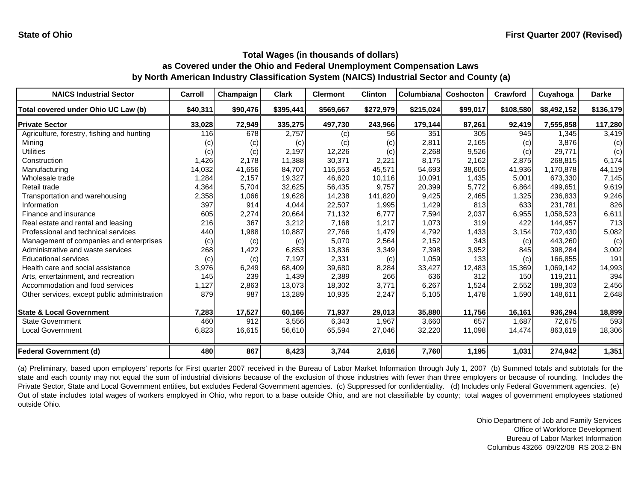| <b>NAICS Industrial Sector</b>               | Carroll           | Champaign | <b>Clark</b> | <b>Clermont</b> | <b>Clinton</b> | Columbiana | <b>Coshocton</b> | <b>Crawford</b> | Cuyahoga    | <b>Darke</b> |
|----------------------------------------------|-------------------|-----------|--------------|-----------------|----------------|------------|------------------|-----------------|-------------|--------------|
| Total covered under Ohio UC Law (b)          | \$40,311          | \$90,476  | \$395,441    | \$569,667       | \$272,979      | \$215,024  | \$99,017         | \$108,580       | \$8,492,152 | \$136,179    |
| <b>Private Sector</b>                        | 33,028            | 72,949    | 335,275      | 497,730         | 243,966        | 179,144    | 87,261           | 92,419          | 7,555,858   | 117,280      |
| Agriculture, forestry, fishing and hunting   | 116               | 678       | 2,757        | (c)             | 56             | 351        | 305              | 945             | 1.345       | 3,419        |
| Mining                                       | $\left( c\right)$ | (c)       | (c)          | (c)             | (c)            | 2,811      | 2,165            | (c)             | 3,876       | (c)          |
| Utilities                                    | (c)               | (c)       | 2,197        | 12,226          | (c)            | 2,268      | 9,526            | (c)             | 29,771      | (c)          |
| Construction                                 | 1,426             | 2,178     | 11,388       | 30,371          | 2,221          | 8,175      | 2,162            | 2,875           | 268,815     | 6,174        |
| Manufacturing                                | 14,032            | 41,656    | 84,707       | 116,553         | 45,571         | 54,693     | 38,605           | 41,936          | 1,170,878   | 44,119       |
| Wholesale trade                              | 1,284             | 2,157     | 19,327       | 46,620          | 10,116         | 10,091     | 1,435            | 5,001           | 673,330     | 7,145        |
| Retail trade                                 | 4,364             | 5,704     | 32,625       | 56,435          | 9,757          | 20,399     | 5,772            | 6,864           | 499,651     | 9,619        |
| Transportation and warehousing               | 2,358             | 1,066     | 19,628       | 14,238          | 141,820        | 9,425      | 2,465            | 1,325           | 236,833     | 9,246        |
| Information                                  | 397               | 914       | 4,044        | 22,507          | 1,995          | 1,429      | 813              | 633             | 231,781     | 826          |
| Finance and insurance                        | 605               | 2,274     | 20,664       | 71,132          | 6,777          | 7,594      | 2,037            | 6,955           | 1,058,523   | 6,611        |
| Real estate and rental and leasing           | 216               | 367       | 3,212        | 7,168           | 1,217          | 1,073      | 319              | 422             | 144,957     | 713          |
| Professional and technical services          | 440               | 1,988     | 10,887       | 27,766          | 1,479          | 4,792      | 1,433            | 3,154           | 702,430     | 5,082        |
| Management of companies and enterprises      | (c)               | (c)       | (c)          | 5,070           | 2,564          | 2,152      | 343              | (c)             | 443,260     | (c)          |
| Administrative and waste services            | 268               | 1,422     | 6,853        | 13,836          | 3,349          | 7,398      | 3,952            | 845             | 398,284     | 3,002        |
| <b>Educational services</b>                  | (c)               | (c)       | 7,197        | 2,331           | (c)            | 1,059      | 133              | (c)             | 166,855     | 191          |
| Health care and social assistance            | 3,976             | 6,249     | 68,409       | 39,680          | 8,284          | 33,427     | 12,483           | 15,369          | 1,069,142   | 14,993       |
| Arts, entertainment, and recreation          | 145               | 239       | 1,439        | 2,389           | 266            | 636        | 312              | 150             | 119,211     | 394          |
| Accommodation and food services              | 1,127             | 2,863     | 13,073       | 18,302          | 3,771          | 6,267      | 1,524            | 2,552           | 188,303     | 2,456        |
| Other services, except public administration | 879               | 987       | 13,289       | 10,935          | 2,247          | 5,105      | 1,478            | 1,590           | 148,611     | 2,648        |
| <b>State &amp; Local Government</b>          | 7,283             | 17,527    | 60,166       | 71,937          | 29,013         | 35,880     | 11,756           | 16,161          | 936,294     | 18,899       |
| <b>State Government</b>                      | 460               | 912       | 3,556        | 6,343           | 1,967          | 3,660      | 657              | 1,687           | 72,675      | 593          |
| <b>Local Government</b>                      | 6,823             | 16,615    | 56,610       | 65,594          | 27,046         | 32,220     | 11,098           | 14,474          | 863,619     | 18,306       |
| <b>Federal Government (d)</b>                | 480               | 867       | 8,423        | 3,744           | 2,616          | 7,760      | 1,195            | 1,031           | 274,942     | 1,351        |

(a) Preliminary, based upon employers' reports for First quarter 2007 received in the Bureau of Labor Market Information through July 1, 2007 (b) Summed totals and subtotals for the state and each county may not equal the sum of industrial divisions because of the exclusion of those industries with fewer than three employers or because of rounding. Includes the Private Sector, State and Local Government entities, but excludes Federal Government agencies. (c) Suppressed for confidentiality. (d) Includes only Federal Government agencies. (e) Out of state includes total wages of workers employed in Ohio, who report to <sup>a</sup> base outside Ohio, and are not classifiable by county; total wages of government employees stationed outside Ohio.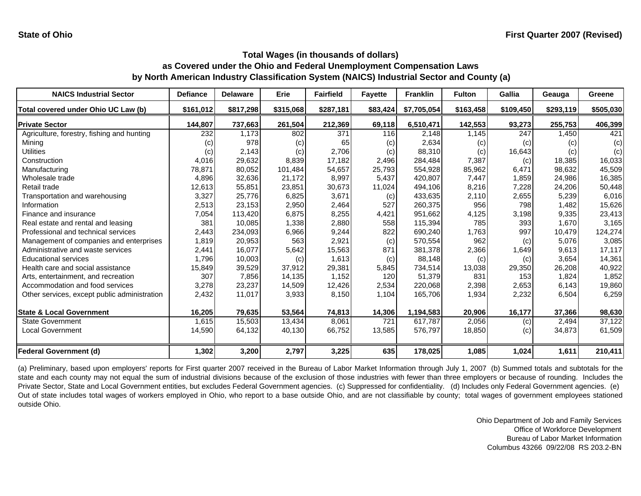| <b>NAICS Industrial Sector</b>               | <b>Defiance</b> | <b>Delaware</b> | Erie      | <b>Fairfield</b> | <b>Fayette</b> | <b>Franklin</b> | <b>Fulton</b> | Gallia    | Geauga    | Greene    |
|----------------------------------------------|-----------------|-----------------|-----------|------------------|----------------|-----------------|---------------|-----------|-----------|-----------|
| Total covered under Ohio UC Law (b)          | \$161,012       | \$817,298       | \$315,068 | \$287,181        | \$83,424       | \$7,705,054     | \$163,458     | \$109,450 | \$293,119 | \$505,030 |
| <b>Private Sector</b>                        | 144,807         | 737,663         | 261,504   | 212,369          | 69,118         | 6,510,471       | 142,553       | 93,273    | 255,753   | 406,399   |
| Agriculture, forestry, fishing and hunting   | 232             | 1,173           | 802       | 371              | 116            | 2,148           | 1,145         | 247       | 1,450     | 421       |
| Mining                                       | (c)             | 978             | (c)       | 65               | (c)            | 2,634           | (c)           | (c)       | (c)       | (c)       |
| <b>Utilities</b>                             | (c)             | 2,143           | (c)       | 2,706            | (c)            | 88,310          | (c)           | 16,643    | (c)       | (c)       |
| Construction                                 | 4,016           | 29,632          | 8,839     | 17,182           | 2,496          | 284,484         | 7,387         | (c)       | 18,385    | 16,033    |
| Manufacturing                                | 78,871          | 80,052          | 101,484   | 54,657           | 25,793         | 554,928         | 85,962        | 6,471     | 98,632    | 45,509    |
| Wholesale trade                              | 4,896           | 32,636          | 21,172    | 8,997            | 5,437          | 420,807         | 7,447         | 1,859     | 24,986    | 16,385    |
| Retail trade                                 | 12,613          | 55,851          | 23,851    | 30,673           | 11,024         | 494,106         | 8,216         | 7,228     | 24,206    | 50,448    |
| Transportation and warehousing               | 3,327           | 25,776          | 6,825     | 3,671            | (c)            | 433,635         | 2,110         | 2,655     | 5,239     | 6,016     |
| Information                                  | 2,513           | 23,153          | 2,950     | 2,464            | 527            | 260,375         | 956           | 798       | 1,482     | 15,626    |
| Finance and insurance                        | 7,054           | 113,420         | 6,875     | 8,255            | 4,421          | 951,662         | 4,125         | 3,198     | 9,335     | 23,413    |
| Real estate and rental and leasing           | 381             | 10,085          | 1,338     | 2,880            | 558            | 115,394         | 785           | 393       | 1.670     | 3,165     |
| Professional and technical services          | 2,443           | 234,093         | 6,966     | 9,244            | 822            | 690,240         | 1,763         | 997       | 10,479    | 124,274   |
| Management of companies and enterprises      | 1,819           | 20,953          | 563       | 2,921            | (c)            | 570,554         | 962           | (c)       | 5,076     | 3,085     |
| Administrative and waste services            | 2,441           | 16,077          | 5,642     | 15,563           | 871            | 381,378         | 2,366         | 1,649     | 9,613     | 17,117    |
| <b>Educational services</b>                  | 1,796           | 10,003          | (c)       | 1,613            | (c)            | 88,148          | (c)           | (c)       | 3,654     | 14,361    |
| Health care and social assistance            | 15,849          | 39,529          | 37,912    | 29,381           | 5,845          | 734,514         | 13,038        | 29,350    | 26,208    | 40,922    |
| Arts, entertainment, and recreation          | 307             | 7,856           | 14,135    | 1,152            | 120            | 51,379          | 831           | 153       | 1,824     | 1,852     |
| Accommodation and food services              | 3,278           | 23,237          | 14,509    | 12,426           | 2,534          | 220,068         | 2,398         | 2,653     | 6,143     | 19,860    |
| Other services, except public administration | 2,432           | 11,017          | 3,933     | 8,150            | 1,104          | 165,706         | 1,934         | 2,232     | 6,504     | 6,259     |
| <b>State &amp; Local Government</b>          | 16,205          | 79,635          | 53,564    | 74,813           | 14,306         | 1,194,583       | 20,906        | 16,177    | 37,366    | 98,630    |
| <b>State Government</b>                      | 1,615           | 15,503          | 13,434    | 8,061            | 721            | 617,787         | 2,056         | (c)       | 2,494     | 37,122    |
| Local Government                             | 14,590          | 64,132          | 40,130    | 66,752           | 13,585         | 576,797         | 18,850        | (c)       | 34,873    | 61,509    |
| <b>Federal Government (d)</b>                | 1,302           | 3,200           | 2,797     | 3,225            | 635            | 178,025         | 1,085         | 1,024     | 1,611     | 210,411   |

(a) Preliminary, based upon employers' reports for First quarter 2007 received in the Bureau of Labor Market Information through July 1, 2007 (b) Summed totals and subtotals for the state and each county may not equal the sum of industrial divisions because of the exclusion of those industries with fewer than three employers or because of rounding. Includes the Private Sector, State and Local Government entities, but excludes Federal Government agencies. (c) Suppressed for confidentiality. (d) Includes only Federal Government agencies. (e) Out of state includes total wages of workers employed in Ohio, who report to <sup>a</sup> base outside Ohio, and are not classifiable by county; total wages of government employees stationed outside Ohio.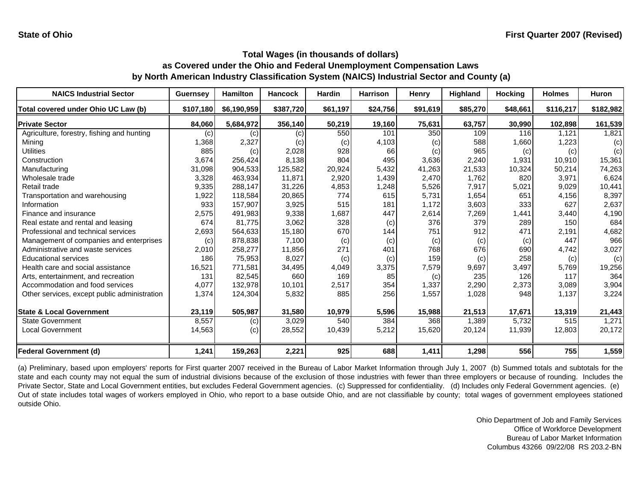| <b>NAICS Industrial Sector</b>               | <b>Guernsey</b> | <b>Hamilton</b> | <b>Hancock</b> | <b>Hardin</b> | <b>Harrison</b> | <b>Henry</b> | Highland | <b>Hocking</b> | <b>Holmes</b> | <b>Huron</b> |
|----------------------------------------------|-----------------|-----------------|----------------|---------------|-----------------|--------------|----------|----------------|---------------|--------------|
| Total covered under Ohio UC Law (b)          | \$107,180       | \$6,190,959     | \$387,720      | \$61,197      | \$24,756        | \$91,619     | \$85,270 | \$48,661       | \$116,217     | \$182,982    |
| <b>Private Sector</b>                        | 84,060          | 5,684,972       | 356,140        | 50,219        | 19,160          | 75,631       | 63,757   | 30,990         | 102,898       | 161,539      |
| Agriculture, forestry, fishing and hunting   | (c)             | (c)             | (c)            | 550           | 101             | 350          | 109      | 116            | 1.121         | 1,821        |
| Mining                                       | 1,368           | 2,327           | (c)            | (c)           | 4,103           | (c)          | 588      | 1,660          | 1,223         | (c)          |
| <b>Utilities</b>                             | 885             | (c)             | 2,028          | 928           | 66              | (c)          | 965      | (c)            | (c)           | (c)          |
| Construction                                 | 3,674           | 256,424         | 8,138          | 804           | 495             | 3,636        | 2,240    | 1,931          | 10,910        | 15,361       |
| Manufacturing                                | 31,098          | 904,533         | 125,582        | 20,924        | 5,432           | 41,263       | 21,533   | 10,324         | 50,214        | 74,263       |
| Wholesale trade                              | 3,328           | 463,934         | 11,871         | 2,920         | 1,439           | 2,470        | 1.762    | 820            | 3,971         | 6,624        |
| Retail trade                                 | 9,335           | 288,147         | 31,226         | 4,853         | 1,248           | 5,526        | 7,917    | 5,021          | 9,029         | 10,441       |
| Transportation and warehousing               | 1,922           | 118,584         | 20,865         | 774           | 615             | 5,731        | 1,654    | 651            | 4,156         | 8,397        |
| Information                                  | 933             | 157,907         | 3,925          | 515           | 181             | 1,172        | 3,603    | 333            | 627           | 2,637        |
| Finance and insurance                        | 2,575           | 491,983         | 9,338          | 1,687         | 447             | 2,614        | 7,269    | 1,441          | 3,440         | 4,190        |
| Real estate and rental and leasing           | 674             | 81,775          | 3,062          | 328           | (c)             | 376          | 379      | 289            | 150           | 684          |
| Professional and technical services          | 2,693           | 564,633         | 15,180         | 670           | 144             | 751          | 912      | 471            | 2,191         | 4,682        |
| Management of companies and enterprises      | (c)             | 878,838         | 7,100          | (c)           | (c)             | (c)          | (c)      | (c)            | 447           | 966          |
| Administrative and waste services            | 2,010           | 258,277         | 11,856         | 271           | 401             | 768          | 676      | 690            | 4,742         | 3,027        |
| <b>Educational services</b>                  | 186             | 75,953          | 8,027          | (c)           | (c)             | 159          | (c)      | 258            | (c)           | (c)          |
| Health care and social assistance            | 16,521          | 771,581         | 34,495         | 4,049         | 3,375           | 7,579        | 9,697    | 3,497          | 5,769         | 19,256       |
| Arts, entertainment, and recreation          | 131             | 82,545          | 660            | 169           | 85              | (c)          | 235      | 126            | 117           | 364          |
| Accommodation and food services              | 4,077           | 132,978         | 10,101         | 2,517         | 354             | 1,337        | 2,290    | 2,373          | 3,089         | 3,904        |
| Other services, except public administration | 1,374           | 124,304         | 5,832          | 885           | 256             | 1,557        | 1,028    | 948            | 1,137         | 3,224        |
| <b>State &amp; Local Government</b>          | 23,119          | 505,987         | 31,580         | 10,979        | 5,596           | 15,988       | 21,513   | 17,671         | 13,319        | 21,443       |
| <b>State Government</b>                      | 8,557           | (c)             | 3,029          | 540           | 384             | 368          | 1,389    | 5,732          | 515           | 1,271        |
| Local Government                             | 14,563          | (c)             | 28,552         | 10,439        | 5,212           | 15,620       | 20,124   | 11,939         | 12,803        | 20,172       |
| <b>Federal Government (d)</b>                | 1,241           | 159,263         | 2,221          | 925           | 688             | 1,411        | 1,298    | 556            | 755           | 1,559        |

(a) Preliminary, based upon employers' reports for First quarter 2007 received in the Bureau of Labor Market Information through July 1, 2007 (b) Summed totals and subtotals for the state and each county may not equal the sum of industrial divisions because of the exclusion of those industries with fewer than three employers or because of rounding. Includes the Private Sector, State and Local Government entities, but excludes Federal Government agencies. (c) Suppressed for confidentiality. (d) Includes only Federal Government agencies. (e) Out of state includes total wages of workers employed in Ohio, who report to <sup>a</sup> base outside Ohio, and are not classifiable by county; total wages of government employees stationed outside Ohio.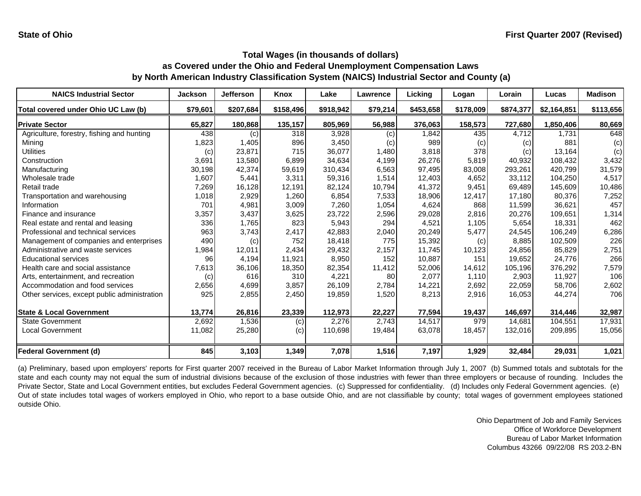| <b>NAICS Industrial Sector</b>               | <b>Jackson</b> | <b>Jefferson</b> | Knox      | Lake      | <b>Lawrence</b> | Licking   | Logan     | Lorain    | Lucas       | <b>Madison</b> |
|----------------------------------------------|----------------|------------------|-----------|-----------|-----------------|-----------|-----------|-----------|-------------|----------------|
| Total covered under Ohio UC Law (b)          | \$79,601       | \$207,684        | \$158,496 | \$918,942 | \$79,214        | \$453,658 | \$178,009 | \$874,377 | \$2,164,851 | \$113,656      |
| <b>Private Sector</b>                        | 65,827         | 180,868          | 135,157   | 805,969   | 56,988          | 376,063   | 158,573   | 727,680   | 1,850,406   | 80,669         |
| Agriculture, forestry, fishing and hunting   | 438            | (c)              | 318       | 3,928     | (c)             | 1,842     | 435       | 4,712     | 1,731       | 648            |
| Mining                                       | 1,823          | 1,405            | 896       | 3,450     | (c)             | 989       | (c)       | (c)       | 881         | (c)            |
| Utilities                                    | (c)            | 23,871           | 715       | 36,077    | 1,480           | 3,818     | 378       | (c)       | 13,164      | (c)            |
| Construction                                 | 3,691          | 13,580           | 6,899     | 34,634    | 4,199           | 26,276    | 5,819     | 40,932    | 108,432     | 3,432          |
| Manufacturing                                | 30,198         | 42,374           | 59,619    | 310,434   | 6,563           | 97,495    | 83,008    | 293,261   | 420,799     | 31,579         |
| Wholesale trade                              | 1,607          | 5,441            | 3,311     | 59,316    | 1,514           | 12,403    | 4,652     | 33,112    | 104,250     | 4,517          |
| Retail trade                                 | 7,269          | 16,128           | 12,191    | 82,124    | 10,794          | 41,372    | 9,451     | 69,489    | 145,609     | 10,486         |
| Transportation and warehousing               | 1,018          | 2,929            | 1,260     | 6,854     | 7,533           | 18,906    | 12,417    | 17,180    | 80,376      | 7,252          |
| Information                                  | 701            | 4,981            | 3,009     | 7,260     | 1,054           | 4,624     | 868       | 11,599    | 36,621      | 457            |
| Finance and insurance                        | 3,357          | 3,437            | 3,625     | 23,722    | 2,596           | 29,028    | 2,816     | 20,276    | 109,651     | 1,314          |
| Real estate and rental and leasing           | 336            | 1,765            | 823       | 5,943     | 294             | 4,521     | 1,105     | 5,654     | 18,331      | 462            |
| Professional and technical services          | 963            | 3,743            | 2,417     | 42,883    | 2,040           | 20,249    | 5,477     | 24,545    | 106,249     | 6,286          |
| Management of companies and enterprises      | 490            | (c)              | 752       | 18,418    | 775             | 15,392    | (c)       | 8,885     | 102,509     | 226            |
| Administrative and waste services            | 1,984          | 12,011           | 2,434     | 29,432    | 2,157           | 11,745    | 10,123    | 24,856    | 85,829      | 2,751          |
| <b>Educational services</b>                  | 96             | 4,194            | 11,921    | 8,950     | 152             | 10,887    | 151       | 19,652    | 24,776      | 266            |
| Health care and social assistance            | 7,613          | 36,106           | 18,350    | 82,354    | 11,412          | 52,006    | 14,612    | 105,196   | 376,292     | 7,579          |
| Arts, entertainment, and recreation          | (c)            | 616              | 310       | 4,221     | 80              | 2,077     | 1,110     | 2,903     | 11,927      | 106            |
| Accommodation and food services              | 2,656          | 4,699            | 3,857     | 26,109    | 2,784           | 14,221    | 2,692     | 22,059    | 58,706      | 2,602          |
| Other services, except public administration | 925            | 2,855            | 2,450     | 19,859    | 1,520           | 8,213     | 2,916     | 16,053    | 44,274      | 706            |
| <b>State &amp; Local Government</b>          | 13,774         | 26,816           | 23,339    | 112,973   | 22,227          | 77,594    | 19,437    | 146,697   | 314,446     | 32,987         |
| <b>State Government</b>                      | 2,692          | 1,536            | (c)       | 2,276     | 2,743           | 14,517    | 979       | 14.681    | 104,551     | 17,931         |
| Local Government                             | 11,082         | 25,280           | (c)       | 110,698   | 19,484          | 63,078    | 18,457    | 132,016   | 209,895     | 15,056         |
| <b>Federal Government (d)</b>                | 845            | 3,103            | 1,349     | 7,078     | 1,516           | 7,197     | 1,929     | 32,484    | 29,031      | 1,021          |

(a) Preliminary, based upon employers' reports for First quarter 2007 received in the Bureau of Labor Market Information through July 1, 2007 (b) Summed totals and subtotals for the state and each county may not equal the sum of industrial divisions because of the exclusion of those industries with fewer than three employers or because of rounding. Includes the Private Sector, State and Local Government entities, but excludes Federal Government agencies. (c) Suppressed for confidentiality. (d) Includes only Federal Government agencies. (e) Out of state includes total wages of workers employed in Ohio, who report to <sup>a</sup> base outside Ohio, and are not classifiable by county; total wages of government employees stationed outside Ohio.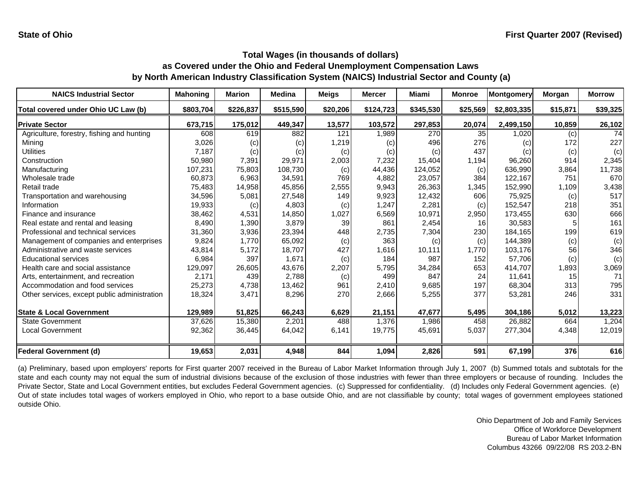| <b>NAICS Industrial Sector</b>               | <b>Mahoning</b> | <b>Marion</b> | <b>Medina</b> | <b>Meigs</b> | <b>Mercer</b> | Miami     | <b>Monroe</b> | Montgomery  | Morgan   | <b>Morrow</b> |
|----------------------------------------------|-----------------|---------------|---------------|--------------|---------------|-----------|---------------|-------------|----------|---------------|
| Total covered under Ohio UC Law (b)          | \$803,704       | \$226,837     | \$515,590     | \$20,206     | \$124,723     | \$345,530 | \$25,569      | \$2,803,335 | \$15,871 | \$39,325      |
| <b>Private Sector</b>                        | 673,715         | 175,012       | 449,347       | 13,577       | 103,572       | 297,853   | 20,074        | 2,499,150   | 10,859   | 26,102        |
| Agriculture, forestry, fishing and hunting   | 608             | 619           | 882           | 121          | 1,989         | 270       | 35            | 1,020       | (c)      | 74            |
| Mining                                       | 3,026           | (c)           | (c)           | 1,219        | (c)           | 496       | 276           | (c)         | 172      | 227           |
| Utilities                                    | 7,187           | (c)           | (c)           | (c)          | (c)           | (c)       | 437           | (c)         | (c)      | (c)           |
| Construction                                 | 50,980          | 7,391         | 29,971        | 2,003        | 7,232         | 15,404    | 1,194         | 96,260      | 914      | 2,345         |
| Manufacturing                                | 107,231         | 75,803        | 108,730       | (c)          | 44,436        | 124,052   | (c)           | 636,990     | 3,864    | 11,738        |
| Wholesale trade                              | 60,873          | 6,963         | 34,591        | 769          | 4,882         | 23,057    | 384           | 122.167     | 751      | 670           |
| Retail trade                                 | 75,483          | 14,958        | 45,856        | 2,555        | 9,943         | 26,363    | 1,345         | 152,990     | 1,109    | 3,438         |
| Transportation and warehousing               | 34,596          | 5,081         | 27,548        | 149          | 9,923         | 12,432    | 606           | 75,925      | (c)      | 517           |
| Information                                  | 19,933          | (c)           | 4,803         | (c)          | 1,247         | 2,281     | (c)           | 152,547     | 218      | 351           |
| Finance and insurance                        | 38,462          | 4,531         | 14,850        | 1,027        | 6,569         | 10,971    | 2,950         | 173,455     | 630      | 666           |
| Real estate and rental and leasing           | 8,490           | 1,390         | 3,879         | 39           | 861           | 2,454     | 16            | 30,583      |          | 161           |
| Professional and technical services          | 31,360          | 3,936         | 23,394        | 448          | 2,735         | 7,304     | 230           | 184,165     | 199      | 619           |
| Management of companies and enterprises      | 9,824           | 1.770         | 65,092        | (c)          | 363           | (c)       | (c)           | 144,389     | (c)      | (c)           |
| Administrative and waste services            | 43,814          | 5,172         | 18,707        | 427          | 1,616         | 10,111    | 1,770         | 103,176     | 56       | 346           |
| <b>Educational services</b>                  | 6,984           | 397           | 1,671         | (c)          | 184           | 987       | 152           | 57,706      | (c)      | (c)           |
| Health care and social assistance            | 129,097         | 26,605        | 43,676        | 2,207        | 5,795         | 34,284    | 653           | 414,707     | 1,893    | 3,069         |
| Arts, entertainment, and recreation          | 2,171           | 439           | 2,788         | (c)          | 499           | 847       | 24            | 11,641      | 15       | 71            |
| Accommodation and food services              | 25,273          | 4,738         | 13,462        | 961          | 2,410         | 9,685     | 197           | 68,304      | 313      | 795           |
| Other services, except public administration | 18,324          | 3,471         | 8,296         | 270          | 2,666         | 5,255     | 377           | 53,281      | 246      | 331           |
| <b>State &amp; Local Government</b>          | 129,989         | 51.825        | 66,243        | 6,629        | 21,151        | 47,677    | 5,495         | 304,186     | 5,012    | 13,223        |
| <b>State Government</b>                      | 37,626          | 15,380        | 2,201         | 488          | 1,376         | 1,986     | 458           | 26,882      | 664      | 1,204         |
| <b>Local Government</b>                      | 92,362          | 36,445        | 64,042        | 6,141        | 19,775        | 45,691    | 5,037         | 277,304     | 4,348    | 12,019        |
| <b>Federal Government (d)</b>                | 19,653          | 2,031         | 4,948         | 844          | 1,094         | 2,826     | 591           | 67,199      | 376      | 616           |

(a) Preliminary, based upon employers' reports for First quarter 2007 received in the Bureau of Labor Market Information through July 1, 2007 (b) Summed totals and subtotals for the state and each county may not equal the sum of industrial divisions because of the exclusion of those industries with fewer than three employers or because of rounding. Includes the Private Sector, State and Local Government entities, but excludes Federal Government agencies. (c) Suppressed for confidentiality. (d) Includes only Federal Government agencies. (e) Out of state includes total wages of workers employed in Ohio, who report to <sup>a</sup> base outside Ohio, and are not classifiable by county; total wages of government employees stationed outside Ohio.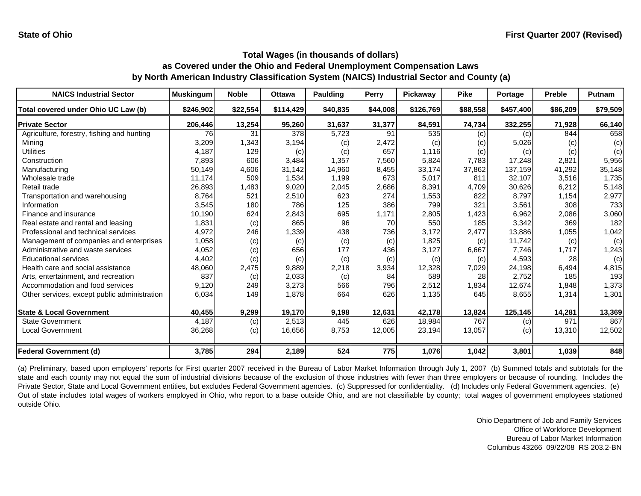| <b>NAICS Industrial Sector</b>               | <b>Muskingum</b> | <b>Noble</b> | <b>Ottawa</b> | <b>Paulding</b> | Perry    | Pickaway  | <b>Pike</b> | Portage   | <b>Preble</b> | Putnam   |
|----------------------------------------------|------------------|--------------|---------------|-----------------|----------|-----------|-------------|-----------|---------------|----------|
| Total covered under Ohio UC Law (b)          | \$246,902        | \$22,554     | \$114,429     | \$40,835        | \$44,008 | \$126,769 | \$88,558    | \$457,400 | \$86,209      | \$79,509 |
| <b>Private Sector</b>                        | 206,446          | 13,254       | 95,260        | 31,637          | 31,377   | 84,591    | 74,734      | 332,255   | 71,928        | 66,140   |
| Agriculture, forestry, fishing and hunting   | 76               | 31           | 378           | 5,723           | 91       | 535       | (c)         | (c)       | 844           | 658      |
| Minina                                       | 3,209            | 1,343        | 3,194         | (c)             | 2,472    | (c)       | (c)         | 5,026     | (c)           | (c)      |
| Utilities                                    | 4,187            | 129          | (c)           | (c)             | 657      | 1,116     | (c)         | (c)       | (c)           | (c)      |
| Construction                                 | 7,893            | 606          | 3,484         | 1,357           | 7,560    | 5,824     | 7.783       | 17,248    | 2,821         | 5,956    |
| Manufacturing                                | 50,149           | 4,606        | 31,142        | 14,960          | 8,455    | 33,174    | 37,862      | 137,159   | 41,292        | 35,148   |
| Wholesale trade                              | 11,174           | 509          | 1,534         | 1,199           | 673      | 5,017     | 811         | 32.107    | 3,516         | 1,735    |
| Retail trade                                 | 26,893           | 1,483        | 9,020         | 2,045           | 2,686    | 8,391     | 4,709       | 30,626    | 6,212         | 5,148    |
| Transportation and warehousing               | 8,764            | 521          | 2,510         | 623             | 274      | 1,553     | 822         | 8,797     | 1,154         | 2,977    |
| Information                                  | 3,545            | 180          | 786           | 125             | 386      | 799       | 321         | 3,561     | 308           | 733      |
| Finance and insurance                        | 10,190           | 624          | 2,843         | 695             | 1,171    | 2,805     | 1,423       | 6,962     | 2,086         | 3,060    |
| Real estate and rental and leasing           | 1,831            | (c)          | 865           | 96              | 70       | 550       | 185         | 3,342     | 369           | 182      |
| Professional and technical services          | 4,972            | 246          | 1,339         | 438             | 736      | 3,172     | 2,477       | 13,886    | 1,055         | 1,042    |
| Management of companies and enterprises      | 1,058            | (c)          | (c)           | (c)             | (c)      | 1,825     | (c)         | 11.742    | (c)           | (c)      |
| Administrative and waste services            | 4,052            | (c)          | 656           | 177             | 436      | 3,127     | 6,667       | 7,746     | 1,717         | 1,243    |
| <b>Educational services</b>                  | 4,402            | (c)          | (c)           | (c)             | (c)      | (c)       | (c)         | 4,593     | 28            | (c)      |
| Health care and social assistance            | 48,060           | 2,475        | 9,889         | 2,218           | 3,934    | 12,328    | 7,029       | 24,198    | 6,494         | 4,815    |
| Arts, entertainment, and recreation          | 837              | (c)          | 2,033         | (c)             | 84       | 589       | 28          | 2,752     | 185           | 193      |
| Accommodation and food services              | 9,120            | 249          | 3,273         | 566             | 796      | 2,512     | 1,834       | 12,674    | 1,848         | 1,373    |
| Other services, except public administration | 6,034            | 149          | 1,878         | 664             | 626      | 1,135     | 645         | 8,655     | 1,314         | 1,301    |
| <b>State &amp; Local Government</b>          | 40,455           | 9,299        | 19,170        | 9,198           | 12,631   | 42,178    | 13,824      | 125,145   | 14,281        | 13,369   |
| <b>State Government</b>                      | 4,187            | (c)          | 2,513         | 445             | 626      | 18,984    | 767         | (c)       | 971           | 867      |
| <b>Local Government</b>                      | 36,268           | (c)          | 16,656        | 8,753           | 12,005   | 23,194    | 13,057      | (c)       | 13,310        | 12,502   |
| <b>Federal Government (d)</b>                | 3,785            | 294          | 2,189         | 524             | 775      | 1,076     | 1,042       | 3,801     | 1,039         | 848      |

(a) Preliminary, based upon employers' reports for First quarter 2007 received in the Bureau of Labor Market Information through July 1, 2007 (b) Summed totals and subtotals for the state and each county may not equal the sum of industrial divisions because of the exclusion of those industries with fewer than three employers or because of rounding. Includes the Private Sector, State and Local Government entities, but excludes Federal Government agencies. (c) Suppressed for confidentiality. (d) Includes only Federal Government agencies. (e) Out of state includes total wages of workers employed in Ohio, who report to <sup>a</sup> base outside Ohio, and are not classifiable by county; total wages of government employees stationed outside Ohio.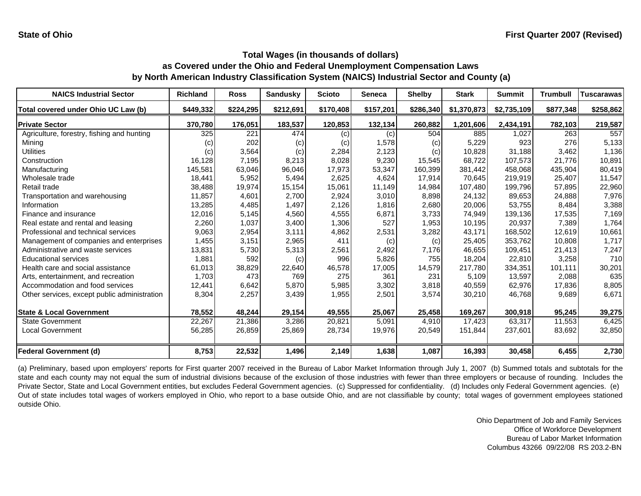| <b>NAICS Industrial Sector</b>               | Richland  | <b>Ross</b> | <b>Sandusky</b> | <b>Scioto</b> | <b>Seneca</b> | <b>Shelby</b> | <b>Stark</b> | <b>Summit</b> | <b>Trumbull</b> | <b>Tuscarawas</b> |
|----------------------------------------------|-----------|-------------|-----------------|---------------|---------------|---------------|--------------|---------------|-----------------|-------------------|
| Total covered under Ohio UC Law (b)          | \$449,332 | \$224,295   | \$212,691       | \$170,408     | \$157,201     | \$286,340     | \$1,370,873  | \$2,735,109   | \$877,348       | \$258,862         |
| <b>Private Sector</b>                        | 370,780   | 176,051     | 183,537         | 120,853       | 132,134       | 260,882       | 1,201,606    | 2,434,191     | 782,103         | 219,587           |
| Agriculture, forestry, fishing and hunting   | 325       | 221         | 474             | (c)           | (c)           | 504           | 885          | 1,027         | 263             | 557               |
| Minina                                       | (C)       | 202         | (c)             | (c)           | 1,578         | (c)           | 5,229        | 923           | 276             | 5,133             |
| Utilities                                    | (c)       | 3,564       | (c)             | 2,284         | 2,123         | (c)           | 10,828       | 31,188        | 3,462           | 1,136             |
| Construction                                 | 16,128    | 7,195       | 8,213           | 8,028         | 9,230         | 15,545        | 68.722       | 107,573       | 21.776          | 10,891            |
| Manufacturing                                | 145,581   | 63,046      | 96,046          | 17,973        | 53,347        | 160,399       | 381,442      | 458,068       | 435,904         | 80,419            |
| Wholesale trade                              | 18,441    | 5,952       | 5,494           | 2,625         | 4,624         | 17,914        | 70,645       | 219.919       | 25,407          | 11,547            |
| Retail trade                                 | 38,488    | 19,974      | 15,154          | 15.061        | 11,149        | 14,984        | 107.480      | 199,796       | 57,895          | 22,960            |
| Transportation and warehousing               | 11,857    | 4,601       | 2,700           | 2,924         | 3,010         | 8,898         | 24,132       | 89,653        | 24,888          | 7,976             |
| Information                                  | 13,285    | 4,485       | 1,497           | 2,126         | 1,816         | 2,680         | 20,006       | 53.755        | 8.484           | 3,388             |
| Finance and insurance                        | 12,016    | 5,145       | 4,560           | 4,555         | 6,871         | 3,733         | 74,949       | 139,136       | 17,535          | 7,169             |
| Real estate and rental and leasing           | 2,260     | 1,037       | 3,400           | 1,306         | 527           | 1,953         | 10,195       | 20,937        | 7,389           | 1,764             |
| Professional and technical services          | 9,063     | 2,954       | 3,111           | 4,862         | 2,531         | 3,282         | 43,171       | 168,502       | 12,619          | 10,661            |
| Management of companies and enterprises      | 1,455     | 3,151       | 2,965           | 411           | (c)           | (c)           | 25,405       | 353,762       | 10,808          | 1,717             |
| Administrative and waste services            | 13,831    | 5,730       | 5,313           | 2,561         | 2,492         | 7,176         | 46,655       | 109,451       | 21,413          | 7,247             |
| <b>Educational services</b>                  | 1,881     | 592         | (c)             | 996           | 5,826         | 755           | 18,204       | 22,810        | 3,258           | 710               |
| Health care and social assistance            | 61,013    | 38,829      | 22,640          | 46,578        | 17,005        | 14,579        | 217,780      | 334,351       | 101,111         | 30,201            |
| Arts, entertainment, and recreation          | 1,703     | 473         | 769             | 275           | 361           | 231           | 5,109        | 13,597        | 2,088           | 635               |
| Accommodation and food services              | 12,441    | 6,642       | 5,870           | 5,985         | 3,302         | 3,818         | 40,559       | 62,976        | 17,836          | 8,805             |
| Other services, except public administration | 8,304     | 2,257       | 3,439           | 1,955         | 2,501         | 3,574         | 30,210       | 46,768        | 9,689           | 6,671             |
| <b>State &amp; Local Government</b>          | 78,552    | 48,244      | 29,154          | 49,555        | 25,067        | 25,458        | 169,267      | 300,918       | 95,245          | 39,275            |
| <b>State Government</b>                      | 22,267    | 21,386      | 3,286           | 20,821        | 5,091         | 4,910         | 17,423       | 63,317        | 11,553          | 6,425             |
| <b>Local Government</b>                      | 56,285    | 26,859      | 25,869          | 28,734        | 19,976        | 20,549        | 151,844      | 237,601       | 83,692          | 32,850            |
| <b>Federal Government (d)</b>                | 8,753     | 22,532      | 1,496           | 2,149         | 1,638         | 1,087         | 16,393       | 30,458        | 6,455           | 2,730             |

(a) Preliminary, based upon employers' reports for First quarter 2007 received in the Bureau of Labor Market Information through July 1, 2007 (b) Summed totals and subtotals for the state and each county may not equal the sum of industrial divisions because of the exclusion of those industries with fewer than three employers or because of rounding. Includes the Private Sector, State and Local Government entities, but excludes Federal Government agencies. (c) Suppressed for confidentiality. (d) Includes only Federal Government agencies. (e) Out of state includes total wages of workers employed in Ohio, who report to <sup>a</sup> base outside Ohio, and are not classifiable by county; total wages of government employees stationed outside Ohio.